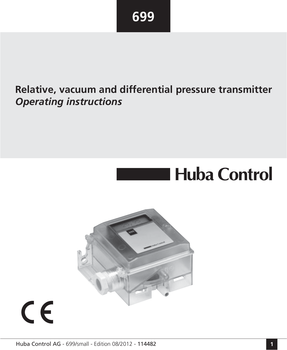# **Relative, vacuum and differential pressure transmitter**  *Operating instructions (page 16-29)* **Relative, vacuum and differential pressure transmitter**  *Operating instructions*

# **Huba Control**



# $C \in$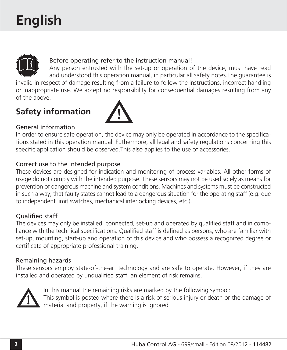# **English**



# Before operating refer to the instruction manual!

Any person entrusted with the set-up or operation of the device, must have read and understood this operation manual, in particular all safety notes.The guarantee is

invalid in respect of damage resulting from a failure to follow the instructions, incorrect handling or inappropriate use. We accept no responsibility for consequential damages resulting from any of the above.

# **Safety information**



## General information

In order to ensure safe operation, the device may only be operated in accordance to the specifications stated in this operation manual. Futhermore, all legal and safety regulations concerning this specific application should be observed.This also applies to the use of accessories.

### Correct use to the intended purpose

These devices are designed for indication and monitoring of process variables. All other forms of usage do not comply with the intended purpose. These sensors may not be used solely as means for prevention of dangerous machine and system conditions. Machines and systems must be constructed in such a way, that faulty states cannot lead to a dangerous situation for the operating staff (e.g. due to independent limit switches, mechanical interlocking devices, etc.).

### Qualified staff

The devices may only be installed, connected, set-up and operated by qualified staff and in compliance with the technical specifications. Qualified staff is defined as persons, who are familiar with set-up, mounting, start-up and operation of this device and who possess a recognized degree or certificate of appropriate professional training.

### Remaining hazards

These sensors employ state-of-the-art technology and are safe to operate. However, if they are installed and operated by unqualified staff, an element of risk remains.



In this manual the remaining risks are marked by the following symbol: This symbol is posted where there is a risk of serious injury or death or the damage of material and property, if the warning is ignored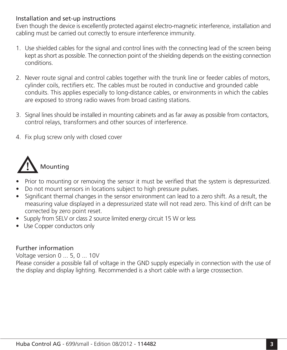## Installation and set-up instructions

Even though the device is excellently protected against electro-magnetic interference, installation and cabling must be carried out correctly to ensure interference immunity.

- 1. Use shielded cables for the signal and control lines with the connecting lead of the screen being kept as short as possible. The connection point of the shielding depends on the existing connection conditions.
- 2. Never route signal and control cables together with the trunk line or feeder cables of motors, cylinder coils, rectifiers etc. The cables must be routed in conductive and grounded cable conduits. This applies especially to long-distance cables, or environments in which the cables are exposed to strong radio waves from broad casting stations.
- 3. Signal lines should be installed in mounting cabinets and as far away as possible from contactors, control relays, transformers and other sources of interference.
- 4. Fix plug screw only with closed cover



- Prior to mounting or removing the sensor it must be verified that the system is depressurized.
- Do not mount sensors in locations subject to high pressure pulses.
- Significant thermal changes in the sensor environment can lead to a zero shift. As a result, the measuring value displayed in a depressurized state will not read zero. This kind of drift can be corrected by zero point reset.
- Supply from SELV or class 2 source limited energy circuit 15 W or less
- Use Copper conductors only

# Further information

Voltage version 0 ... 5, 0 ... 10V

Please consider a possible fall of voltage in the GND supply especially in connection with the use of the display and display lighting. Recommended is a short cable with a large crosssection.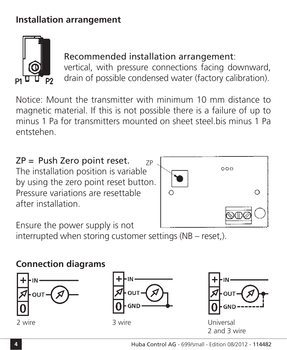# **Installation arrangement**



# Recommended installation arrangement:

vertical, with pressure connections facing downward, drain of possible condensed water (factory calibration).

Notice: Mount the transmitter with minimum 10 mm distance to magnetic material. If this is not possible there is a failure of up to minus 1 Pa for transmitters mounted on sheet steel.bis minus 1 Pa entstehen.

ZP = Push Zero point reset. The installation position is variable by using the zero point reset button. Pressure variations are resettable after installation. ZP



Ensure the power supply is not

interrupted when storing customer settings ( $NB - reset$ .).

# **Connection diagrams**







Universal 2 and 3 wire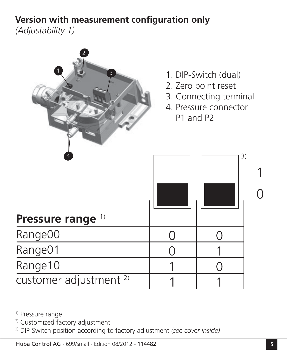# **Version with measurement configuration only**

*(Adjustability 1)*



<sup>1)</sup> Pressure range

2) Customized factory adjustment

3) DIP-Switch position according to factory adjustment *(see cover inside)*

Huba Control AG - 699/small - Edition 08/2012 - 114482 **5**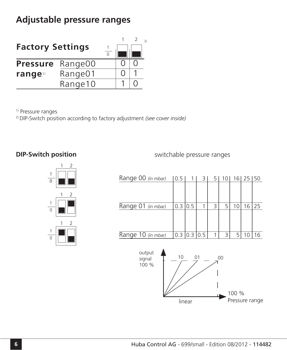# **Adjustable pressure ranges**

| <b>Factory Settings</b> |         |  | $\mathcal{D}$ |
|-------------------------|---------|--|---------------|
| <b>Pressure</b>         | Range00 |  |               |
| range <sup>1</sup>      | Range01 |  |               |
|                         | Range10 |  |               |

1) Pressure ranges

2) DIP-Switch position according to factory adjustment *(see cover inside)*

## **DIP-Switch position**



Range 00 *(in mbar)* Range 01 *(in mbar)* Range 10 *(in mbar)* 0.5 | 1 | 3 | 5 | 10 | 16 | 25 | 50 0.3 0.5 1 3 5 10 16 25  $0.3$  0.3 0.5 1 3 5 10 16

switchable pressure ranges

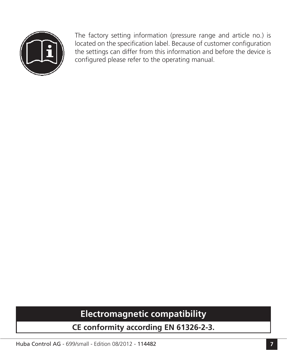

The factory setting information (pressure range and article no.) is located on the specification label. Because of customer configuration the settings can differ from this information and before the device is configured please refer to the operating manual.

# **Electromagnetic compatibility**

**CE conformity according EN 61326-2-3.**

Huba Control AG - 699/small - Edition 08/2012 - 114482 **7**